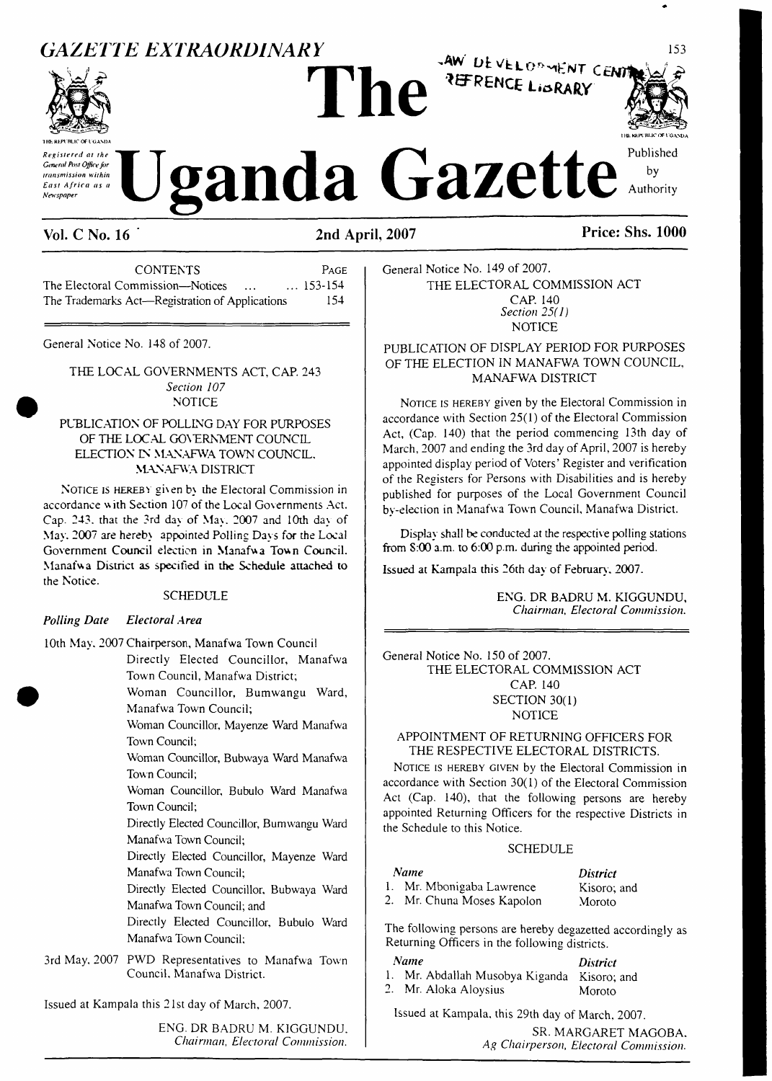## **GAZETTE EXTRAORDINARY**



Registered at the General Post Office for transmission within East Africa as a Newspaper

**Vol. C No. 16** 

**CONTENTS** PAGE The Electoral Commission-Notices  $... 153 - 154$  $\sim$  100 The Trademarks Act-Registration of Applications 154

General Notice No. 148 of 2007.

THE LOCAL GOVERNMENTS ACT. CAP. 243 Section 107 **NOTICE** 

### PUBLICATION OF POLLING DAY FOR PURPOSES OF THE LOCAL GOVERNMENT COUNCIL ELECTION IN MANAFWA TOWN COUNCIL. **MANAFWA DISTRICT**

NOTICE IS HEREBY given by the Electoral Commission in accordance with Section 107 of the Local Governments Act. Cap. 243, that the 3rd day of May, 2007 and 10th day of May, 2007 are hereby appointed Polling Davs for the Local Government Council election in Manafwa Town Council. Manafwa District as specified in the Schedule attached to the Notice.

### **SCHEDULE**

#### **Polling Date Electoral Area**

10th May, 2007 Chairperson, Manafwa Town Council

Directly Elected Councillor, Manafwa Town Council, Manafwa District;

Woman Councillor, Bumwangu Ward, Manafwa Town Council;

Woman Councillor, Mayenze Ward Manafwa Town Council;

Woman Councillor, Bubwaya Ward Manafwa Town Council;

Woman Councillor, Bubulo Ward Manafwa Town Council;

Directly Elected Councillor, Bumwangu Ward Manafwa Town Council;

Directly Elected Councillor, Mayenze Ward Manafwa Town Council:

Directly Elected Councillor, Bubwaya Ward Manafwa Town Council; and

Directly Elected Councillor, Bubulo Ward Manafwa Town Council;

3rd May, 2007 PWD Representatives to Manafwa Town Council, Manafwa District.

Issued at Kampala this 21st day of March, 2007.

ENG. DR BADRU M. KIGGUNDU. Chairman, Electoral Commission.

General Notice No. 149 of 2007. THE ELECTORAL COMMISSION ACT CAP. 140 Section  $25(1)$ **NOTICE** 

PUBLICATION OF DISPLAY PERIOD FOR PURPOSES OF THE ELECTION IN MANAFWA TOWN COUNCIL, MANAFWA DISTRICT

AW DEVELOPMENT CENT REFRENCE LIBRARY

NOTICE IS HEREBY given by the Electoral Commission in accordance with Section 25(1) of the Electoral Commission Act, (Cap. 140) that the period commencing 13th day of March, 2007 and ending the 3rd day of April, 2007 is hereby appointed display period of Voters' Register and verification of the Registers for Persons with Disabilities and is hereby published for purposes of the Local Government Council by-election in Manafwa Town Council, Manafwa District.

Display shall be conducted at the respective polling stations from S:00 a.m. to 6:00 p.m. during the appointed period.

Issued at Kampala this 26th day of February, 2007.

ENG. DR BADRU M. KIGGUNDU, Chairman, Electoral Commission.

General Notice No. 150 of 2007.

THE ELECTORAL COMMISSION ACT CAP. 140 SECTION 30(1) **NOTICE** 

#### APPOINTMENT OF RETURNING OFFICERS FOR THE RESPECTIVE ELECTORAL DISTRICTS.

NOTICE IS HEREBY GIVEN by the Electoral Commission in accordance with Section 30(1) of the Electoral Commission Act (Cap. 140), that the following persons are hereby appointed Returning Officers for the respective Districts in the Schedule to this Notice.

### **SCHEDULE**

| <b>Name</b> |                           | <i>District</i> |
|-------------|---------------------------|-----------------|
|             | 1. Mr. Mbonigaba Lawrence | Kisoro; and     |
|             | - Mr. Chuna Moses Kapolon | Moroto          |

The following persons are hereby degazetted accordingly as Returning Officers in the following districts.

Name

- 1. Mr. Abdallah Musobya Kiganda Kisoro; and
- 2. Mr. Aloka Aloysius

Issued at Kampala, this 29th day of March, 2007.

SR. MARGARET MAGOBA. Ag Chairperson, Electoral Commission.

**District** 

Moroto

**Price: Shs. 1000** 

Published

by

Authority

153

2nd April, 2007

**zanda Gazette**